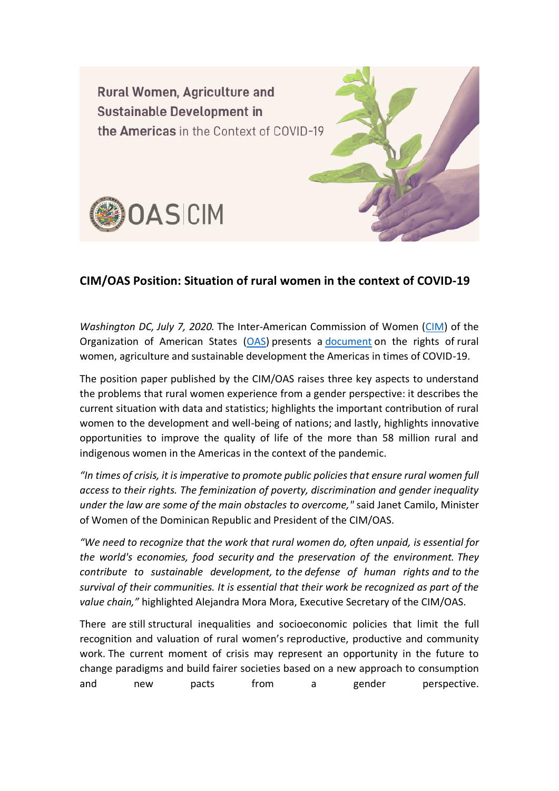

## **CIM/OAS Position: Situation of rural women in the context of COVID-19**

*Washington DC, July 7, 2020.* The Inter-American Commission of Women [\(CIM\)](http://www.oas.org/en/cim/default.asp) of the Organization of American States [\(OAS\)](http://www.oas.org/en/) presents a [document](http://www.oas.org/en/cim/docs/DocumentoPosicion-MujeresRurales-FINAL-EN.pdf) on the rights of rural women, agriculture and sustainable development the Americas in times of COVID-19.

The position paper published by the CIM/OAS raises three key aspects to understand the problems that rural women experience from a gender perspective: it describes the current situation with data and statistics; highlights the important contribution of rural women to the development and well-being of nations; and lastly, highlights innovative opportunities to improve the quality of life of the more than 58 million rural and indigenous women in the Americas in the context of the pandemic.

*"In times of crisis, it is imperative to promote public policies that ensure rural women full access to their rights. The feminization of poverty, discrimination and gender inequality under the law are some of the main obstacles to overcome,"* said Janet Camilo, Minister of Women of the Dominican Republic and President of the CIM/OAS.

*"We need to recognize that the work that rural women do, often unpaid, is essential for the world's economies, food security and the preservation of the environment. They contribute to sustainable development, to the defense of human rights and to the survival of their communities. It is essential that their work be recognized as part of the value chain,"* highlighted Alejandra Mora Mora, Executive Secretary of the CIM/OAS.

There are still structural inequalities and socioeconomic policies that limit the full recognition and valuation of rural women's reproductive, productive and community work. The current moment of crisis may represent an opportunity in the future to change paradigms and build fairer societies based on a new approach to consumption and new pacts from a gender perspective.